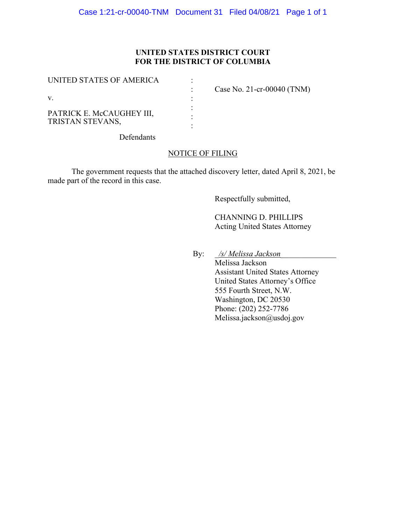# **UNITED STATES DISTRICT COURT FOR THE DISTRICT OF COLUMBIA**

| UNITED STATES OF AMERICA                      | Case No. 21-cr-00040 (TNM) |
|-----------------------------------------------|----------------------------|
| V.                                            |                            |
| PATRICK E. McCAUGHEY III,<br>TRISTAN STEVANS, |                            |

Defendants

# NOTICE OF FILING

The government requests that the attached discovery letter, dated April 8, 2021, be made part of the record in this case.

Respectfully submitted,

CHANNING D. PHILLIPS Acting United States Attorney

By: \_*/s/ Melissa Jackson*\_\_\_\_\_\_\_\_\_\_\_\_\_\_

Melissa Jackson Assistant United States Attorney United States Attorney's Office 555 Fourth Street, N.W. Washington, DC 20530 Phone: (202) 252-7786 Melissa.jackson@usdoj.gov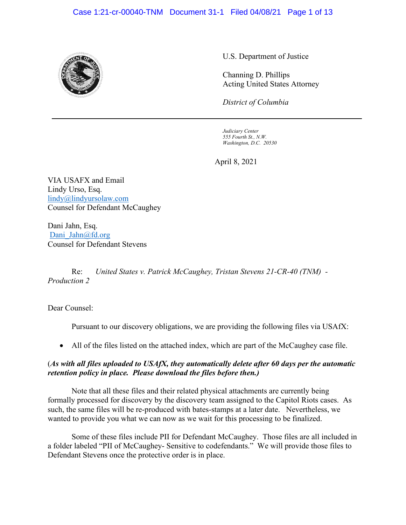#### Case 1:21-cr-00040-TNM Document 31-1 Filed 04/08/21 Page 1 of 13



U.S. Department of Justice

Channing D. Phillips Acting United States Attorney

*District of Columbia*

*Judiciary Center 555 Fourth St., N.W. Washington, D.C. 20530*

April 8, 2021

VIA USAFX and Email Lindy Urso, Esq. lindy@lindyursolaw.com Counsel for Defendant McCaughey

Dani Jahn, Esq. Dani Jahn@fd.org Counsel for Defendant Stevens

Re: *United States v. Patrick McCaughey, Tristan Stevens 21-CR-40 (TNM) - Production 2*

Dear Counsel:

Pursuant to our discovery obligations, we are providing the following files via USAfX:

• All of the files listed on the attached index, which are part of the McCaughey case file.

# (*As with all files uploaded to USAfX, they automatically delete after 60 days per the automatic retention policy in place. Please download the files before then.)*

Note that all these files and their related physical attachments are currently being formally processed for discovery by the discovery team assigned to the Capitol Riots cases. As such, the same files will be re-produced with bates-stamps at a later date. Nevertheless, we wanted to provide you what we can now as we wait for this processing to be finalized.

Some of these files include PII for Defendant McCaughey. Those files are all included in a folder labeled "PII of McCaughey- Sensitive to codefendants." We will provide those files to Defendant Stevens once the protective order is in place.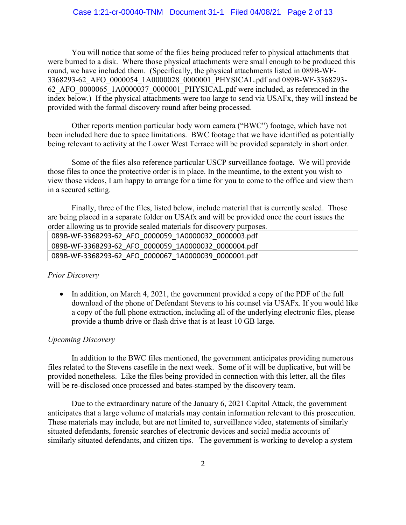You will notice that some of the files being produced refer to physical attachments that were burned to a disk. Where those physical attachments were small enough to be produced this round, we have included them. (Specifically, the physical attachments listed in 089B-WF-3368293-62\_AFO\_0000054\_1A0000028\_0000001\_PHYSICAL.pdf and 089B-WF-3368293- 62 AFO  $0000065$  1A0000037 0000001 PHYSICAL.pdf were included, as referenced in the index below.) If the physical attachments were too large to send via USAFx, they will instead be provided with the formal discovery round after being processed.

Other reports mention particular body worn camera ("BWC") footage, which have not been included here due to space limitations. BWC footage that we have identified as potentially being relevant to activity at the Lower West Terrace will be provided separately in short order.

Some of the files also reference particular USCP surveillance footage. We will provide those files to once the protective order is in place. In the meantime, to the extent you wish to view those videos, I am happy to arrange for a time for you to come to the office and view them in a secured setting.

Finally, three of the files, listed below, include material that is currently sealed. Those are being placed in a separate folder on USAfx and will be provided once the court issues the order allowing us to provide sealed materials for discovery purposes.

| 089B-WF-3368293-62 AFO 0000059 1A0000032 0000003.pdf |
|------------------------------------------------------|
| 089B-WF-3368293-62 AFO 0000059 1A0000032 0000004.pdf |
| 089B-WF-3368293-62 AFO 0000067 1A0000039 0000001.pdf |

#### *Prior Discovery*

• In addition, on March 4, 2021, the government provided a copy of the PDF of the full download of the phone of Defendant Stevens to his counsel via USAFx. If you would like a copy of the full phone extraction, including all of the underlying electronic files, please provide a thumb drive or flash drive that is at least 10 GB large.

#### *Upcoming Discovery*

In addition to the BWC files mentioned, the government anticipates providing numerous files related to the Stevens casefile in the next week. Some of it will be duplicative, but will be provided nonetheless. Like the files being provided in connection with this letter, all the files will be re-disclosed once processed and bates-stamped by the discovery team.

Due to the extraordinary nature of the January 6, 2021 Capitol Attack, the government anticipates that a large volume of materials may contain information relevant to this prosecution. These materials may include, but are not limited to, surveillance video, statements of similarly situated defendants, forensic searches of electronic devices and social media accounts of similarly situated defendants, and citizen tips. The government is working to develop a system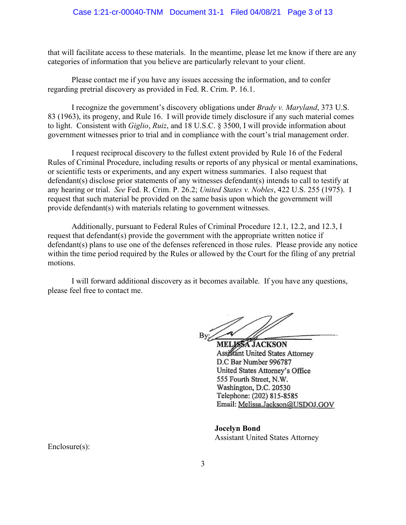that will facilitate access to these materials. In the meantime, please let me know if there are any categories of information that you believe are particularly relevant to your client.

Please contact me if you have any issues accessing the information, and to confer regarding pretrial discovery as provided in Fed. R. Crim. P. 16.1.

I recognize the government's discovery obligations under *Brady v. Maryland*, 373 U.S. 83 (1963), its progeny, and Rule 16. I will provide timely disclosure if any such material comes to light. Consistent with *Giglio*, *Ruiz*, and 18 U.S.C. § 3500, I will provide information about government witnesses prior to trial and in compliance with the court's trial management order.

I request reciprocal discovery to the fullest extent provided by Rule 16 of the Federal Rules of Criminal Procedure, including results or reports of any physical or mental examinations, or scientific tests or experiments, and any expert witness summaries. I also request that defendant(s) disclose prior statements of any witnesses defendant(s) intends to call to testify at any hearing or trial. *See* Fed. R. Crim. P. 26.2; *United States v. Nobles*, 422 U.S. 255 (1975). I request that such material be provided on the same basis upon which the government will provide defendant(s) with materials relating to government witnesses.

Additionally, pursuant to Federal Rules of Criminal Procedure 12.1, 12.2, and 12.3, I request that defendant(s) provide the government with the appropriate written notice if defendant(s) plans to use one of the defenses referenced in those rules. Please provide any notice within the time period required by the Rules or allowed by the Court for the filing of any pretrial motions.

I will forward additional discovery as it becomes available. If you have any questions, please feel free to contact me.

MELISSA JACKSON Assistant United States Attorney D.C Bar Number 996787 United States Attorney's Office 555 Fourth Street, N.W. Washington, D.C. 20530 Telephone: (202) 815-8585 Email: Melissa.Jackson@USDOJ.GOV

**Jocelyn Bond** Assistant United States Attorney

Enclosure(s):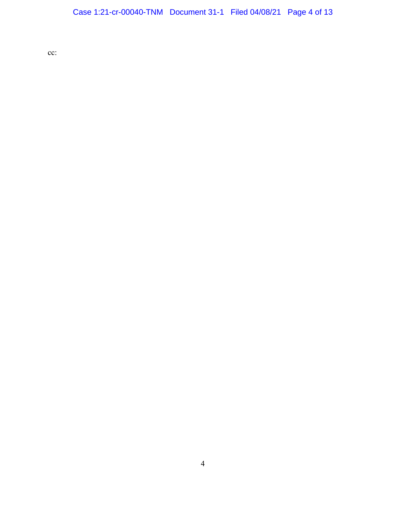cc: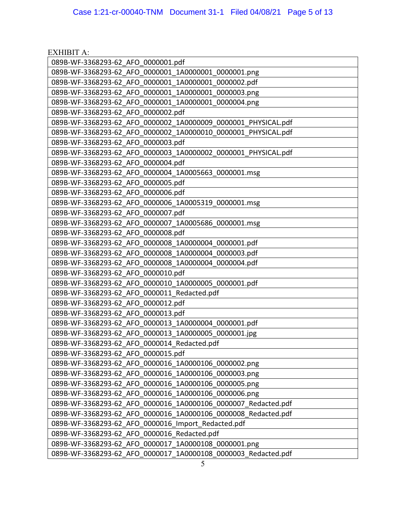| <b>EXHIBIT A:</b>                                             |
|---------------------------------------------------------------|
| 089B-WF-3368293-62_AFO_0000001.pdf                            |
| 089B-WF-3368293-62 AFO 0000001 1A0000001 0000001.png          |
| 089B-WF-3368293-62 AFO 0000001 1A0000001 0000002.pdf          |
| 089B-WF-3368293-62 AFO 0000001 1A0000001 0000003.png          |
| 089B-WF-3368293-62 AFO 0000001 1A0000001 0000004.png          |
| 089B-WF-3368293-62 AFO 0000002.pdf                            |
| 089B-WF-3368293-62 AFO 0000002 1A0000009 0000001 PHYSICAL.pdf |
| 089B-WF-3368293-62 AFO 0000002 1A0000010 0000001 PHYSICAL.pdf |
| 089B-WF-3368293-62 AFO 0000003.pdf                            |
| 089B-WF-3368293-62 AFO 0000003 1A0000002 0000001 PHYSICAL.pdf |
| 089B-WF-3368293-62 AFO 0000004.pdf                            |
| 089B-WF-3368293-62 AFO 0000004 1A0005663 0000001.msg          |
| 089B-WF-3368293-62 AFO 0000005.pdf                            |
| 089B-WF-3368293-62 AFO 0000006.pdf                            |
| 089B-WF-3368293-62 AFO 0000006 1A0005319 0000001.msg          |
| 089B-WF-3368293-62 AFO 0000007.pdf                            |
| 089B-WF-3368293-62 AFO 0000007 1A0005686 0000001.msg          |
| 089B-WF-3368293-62 AFO 0000008.pdf                            |
| 089B-WF-3368293-62 AFO 0000008_1A0000004_0000001.pdf          |
| 089B-WF-3368293-62 AFO 0000008 1A0000004 0000003.pdf          |
| 089B-WF-3368293-62 AFO 0000008 1A0000004 0000004.pdf          |
| 089B-WF-3368293-62 AFO 0000010.pdf                            |
| 089B-WF-3368293-62 AFO 0000010_1A0000005_0000001.pdf          |
| 089B-WF-3368293-62 AFO 0000011 Redacted.pdf                   |
| 089B-WF-3368293-62 AFO 0000012.pdf                            |
| 089B-WF-3368293-62 AFO 0000013.pdf                            |
| 089B-WF-3368293-62 AFO 0000013 1A0000004 0000001.pdf          |
| 089B-WF-3368293-62 AFO 0000013 1A0000005 0000001.jpg          |
| 089B-WF-3368293-62_AFO_0000014_Redacted.pdf                   |
| 089B-WF-3368293-62 AFO 0000015.pdf                            |
| 089B-WF-3368293-62 AFO 0000016 1A0000106 0000002.png          |
| 089B-WF-3368293-62 AFO 0000016 1A0000106 0000003.png          |
| 089B-WF-3368293-62 AFO 0000016 1A0000106 0000005.png          |
| 089B-WF-3368293-62 AFO 0000016 1A0000106 0000006.png          |
| 089B-WF-3368293-62 AFO 0000016 1A0000106 0000007 Redacted.pdf |
| 089B-WF-3368293-62 AFO 0000016 1A0000106 0000008 Redacted.pdf |
| 089B-WF-3368293-62 AFO 0000016 Import Redacted.pdf            |
| 089B-WF-3368293-62 AFO 0000016 Redacted.pdf                   |
| 089B-WF-3368293-62 AFO 0000017 1A0000108 0000001.png          |
| 089B-WF-3368293-62 AFO 0000017 1A0000108 0000003 Redacted.pdf |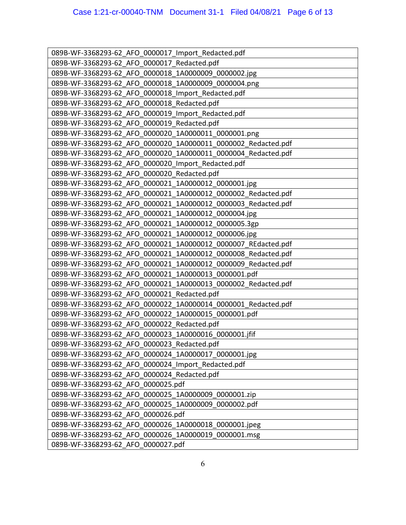| 089B-WF-3368293-62 AFO 0000017 Import Redacted.pdf            |
|---------------------------------------------------------------|
| 089B-WF-3368293-62 AFO 0000017 Redacted.pdf                   |
| 089B-WF-3368293-62 AFO 0000018 1A0000009 0000002.jpg          |
| 089B-WF-3368293-62 AFO 0000018 1A0000009 0000004.png          |
| 089B-WF-3368293-62 AFO 0000018 Import Redacted.pdf            |
| 089B-WF-3368293-62 AFO 0000018 Redacted.pdf                   |
| 089B-WF-3368293-62 AFO 0000019 Import Redacted.pdf            |
| 089B-WF-3368293-62 AFO 0000019 Redacted.pdf                   |
| 089B-WF-3368293-62 AFO 0000020 1A0000011 0000001.png          |
| 089B-WF-3368293-62 AFO 0000020 1A0000011 0000002 Redacted.pdf |
| 089B-WF-3368293-62 AFO 0000020 1A0000011 0000004 Redacted.pdf |
| 089B-WF-3368293-62 AFO 0000020 Import Redacted.pdf            |
| 089B-WF-3368293-62 AFO 0000020 Redacted.pdf                   |
| 089B-WF-3368293-62 AFO 0000021 1A0000012 0000001.jpg          |
| 089B-WF-3368293-62 AFO 0000021 1A0000012 0000002 Redacted.pdf |
| 089B-WF-3368293-62 AFO 0000021 1A0000012 0000003 Redacted.pdf |
| 089B-WF-3368293-62 AFO 0000021 1A0000012 0000004.jpg          |
| 089B-WF-3368293-62 AFO 0000021 1A0000012 0000005.3gp          |
| 089B-WF-3368293-62 AFO 0000021 1A0000012 0000006.jpg          |
| 089B-WF-3368293-62 AFO 0000021 1A0000012 0000007 REdacted.pdf |
| 089B-WF-3368293-62 AFO 0000021 1A0000012 0000008 Redacted.pdf |
| 089B-WF-3368293-62 AFO 0000021 1A0000012 0000009 Redacted.pdf |
| 089B-WF-3368293-62 AFO 0000021 1A0000013 0000001.pdf          |
| 089B-WF-3368293-62 AFO 0000021 1A0000013 0000002 Redacted.pdf |
| 089B-WF-3368293-62 AFO 0000021 Redacted.pdf                   |
| 089B-WF-3368293-62 AFO 0000022 1A0000014 0000001 Redacted.pdf |
| 089B-WF-3368293-62 AFO 0000022 1A0000015 0000001.pdf          |
| 089B-WF-3368293-62 AFO 0000022 Redacted.pdf                   |
| 089B-WF-3368293-62 AFO 0000023 1A0000016 0000001.jfif         |
| 089B-WF-3368293-62 AFO 0000023 Redacted.pdf                   |
| 089B-WF-3368293-62 AFO 0000024 1A0000017 0000001.jpg          |
| 089B-WF-3368293-62 AFO 0000024 Import Redacted.pdf            |
| 089B-WF-3368293-62 AFO 0000024 Redacted.pdf                   |
| 089B-WF-3368293-62 AFO 0000025.pdf                            |
| 089B-WF-3368293-62 AFO 0000025 1A0000009 0000001.zip          |
| 089B-WF-3368293-62 AFO 0000025 1A0000009 0000002.pdf          |
| 089B-WF-3368293-62 AFO 0000026.pdf                            |
| 089B-WF-3368293-62 AFO 0000026 1A0000018 0000001.jpeg         |
| 089B-WF-3368293-62 AFO 0000026_1A0000019_0000001.msg          |
| 089B-WF-3368293-62 AFO 0000027.pdf                            |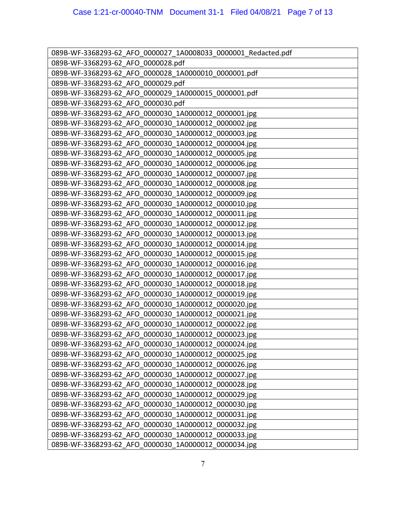| 089B-WF-3368293-62 AFO 0000027 1A0008033 0000001 Redacted.pdf |
|---------------------------------------------------------------|
| 089B-WF-3368293-62 AFO 0000028.pdf                            |
| 089B-WF-3368293-62 AFO 0000028 1A0000010_0000001.pdf          |
| 089B-WF-3368293-62 AFO 0000029.pdf                            |
| 089B-WF-3368293-62 AFO 0000029 1A0000015 0000001.pdf          |
| 089B-WF-3368293-62 AFO 0000030.pdf                            |
| 089B-WF-3368293-62 AFO 0000030 1A0000012 0000001.jpg          |
| 089B-WF-3368293-62 AFO 0000030 1A0000012 0000002.jpg          |
| 089B-WF-3368293-62 AFO 0000030 1A0000012 0000003.jpg          |
| 089B-WF-3368293-62 AFO 0000030 1A0000012 0000004.jpg          |
| 089B-WF-3368293-62 AFO 0000030 1A0000012 0000005.jpg          |
| 089B-WF-3368293-62 AFO 0000030 1A0000012 0000006.jpg          |
| 089B-WF-3368293-62 AFO 0000030 1A0000012 0000007.jpg          |
| 089B-WF-3368293-62 AFO 0000030 1A0000012 0000008.jpg          |
| 089B-WF-3368293-62 AFO 0000030 1A0000012 0000009.jpg          |
| 089B-WF-3368293-62 AFO 0000030 1A0000012 0000010.jpg          |
| 089B-WF-3368293-62 AFO 0000030 1A0000012 0000011.jpg          |
| 089B-WF-3368293-62 AFO 0000030 1A0000012 0000012.jpg          |
| 089B-WF-3368293-62 AFO 0000030 1A0000012 0000013.jpg          |
| 089B-WF-3368293-62 AFO 0000030 1A0000012 0000014.jpg          |
| 089B-WF-3368293-62 AFO 0000030 1A0000012 0000015.jpg          |
| 089B-WF-3368293-62 AFO 0000030 1A0000012 0000016.jpg          |
| 089B-WF-3368293-62 AFO 0000030 1A0000012 0000017.jpg          |
| 089B-WF-3368293-62 AFO 0000030 1A0000012 0000018.jpg          |
| 089B-WF-3368293-62 AFO 0000030 1A0000012 0000019.jpg          |
| 089B-WF-3368293-62 AFO 0000030 1A0000012 0000020.jpg          |
| 089B-WF-3368293-62 AFO 0000030 1A0000012 0000021.jpg          |
| 089B-WF-3368293-62 AFO 0000030 1A0000012 0000022.jpg          |
| 089B-WF-3368293-62 AFO 0000030 1A0000012 0000023.jpg          |
| 089B-WF-3368293-62_AFO_0000030_1A0000012_0000024.jpg          |
| 089B-WF-3368293-62 AFO 0000030 1A0000012 0000025.jpg          |
| 089B-WF-3368293-62 AFO 0000030 1A0000012 0000026.jpg          |
| 089B-WF-3368293-62 AFO 0000030 1A0000012 0000027.jpg          |
| 089B-WF-3368293-62 AFO 0000030 1A0000012 0000028.jpg          |
| 089B-WF-3368293-62 AFO 0000030 1A0000012 0000029.jpg          |
| 089B-WF-3368293-62 AFO 0000030 1A0000012 0000030.jpg          |
| 089B-WF-3368293-62 AFO 0000030 1A0000012 0000031.jpg          |
| 089B-WF-3368293-62 AFO 0000030 1A0000012 0000032.jpg          |
| 089B-WF-3368293-62 AFO 0000030 1A0000012 0000033.jpg          |
| 089B-WF-3368293-62 AFO 0000030 1A0000012 0000034.jpg          |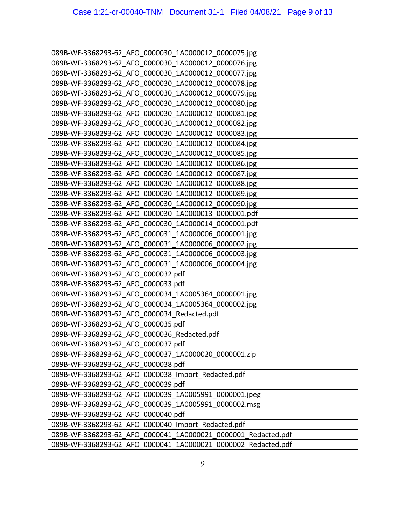| 089B-WF-3368293-62 AFO 0000030 1A0000012 0000075.jpg          |
|---------------------------------------------------------------|
| 089B-WF-3368293-62 AFO 0000030 1A0000012 0000076.jpg          |
| 089B-WF-3368293-62 AFO 0000030 1A0000012 0000077.jpg          |
| 089B-WF-3368293-62 AFO 0000030 1A0000012 0000078.jpg          |
| 089B-WF-3368293-62 AFO 0000030 1A0000012 0000079.jpg          |
| 089B-WF-3368293-62 AFO 0000030 1A0000012 0000080.jpg          |
| 089B-WF-3368293-62 AFO 0000030 1A0000012 0000081.jpg          |
| 089B-WF-3368293-62 AFO 0000030 1A0000012 0000082.jpg          |
| 089B-WF-3368293-62 AFO 0000030 1A0000012 0000083.jpg          |
| 089B-WF-3368293-62 AFO 0000030 1A0000012 0000084.jpg          |
| 089B-WF-3368293-62 AFO 0000030 1A0000012 0000085.jpg          |
| 089B-WF-3368293-62 AFO 0000030 1A0000012 0000086.jpg          |
| 089B-WF-3368293-62 AFO 0000030 1A0000012 0000087.jpg          |
| 089B-WF-3368293-62 AFO 0000030 1A0000012 0000088.jpg          |
| 089B-WF-3368293-62 AFO 0000030 1A0000012 0000089.jpg          |
| 089B-WF-3368293-62 AFO 0000030 1A0000012 0000090.jpg          |
| 089B-WF-3368293-62 AFO 0000030 1A0000013 0000001.pdf          |
| 089B-WF-3368293-62 AFO 0000030 1A0000014 0000001.pdf          |
| 089B-WF-3368293-62 AFO 0000031 1A0000006_0000001.jpg          |
| 089B-WF-3368293-62 AFO 0000031 1A0000006 0000002.jpg          |
| 089B-WF-3368293-62 AFO 0000031 1A0000006 0000003.jpg          |
| 089B-WF-3368293-62 AFO 0000031 1A0000006 0000004.jpg          |
| 089B-WF-3368293-62 AFO 0000032.pdf                            |
| 089B-WF-3368293-62 AFO 0000033.pdf                            |
| 089B-WF-3368293-62 AFO 0000034 1A0005364 0000001.jpg          |
| 089B-WF-3368293-62 AFO 0000034 1A0005364 0000002.jpg          |
| 089B-WF-3368293-62 AFO 0000034 Redacted.pdf                   |
| 089B-WF-3368293-62 AFO 0000035.pdf                            |
| 089B-WF-3368293-62 AFO 0000036 Redacted.pdf                   |
| 089B-WF-3368293-62 AFO 0000037.pdf                            |
| 089B-WF-3368293-62_AFO_0000037_1A0000020_0000001.zip          |
| 089B-WF-3368293-62 AFO 0000038.pdf                            |
| 089B-WF-3368293-62 AFO 0000038 Import Redacted.pdf            |
| 089B-WF-3368293-62 AFO 0000039.pdf                            |
| 089B-WF-3368293-62 AFO 0000039 1A0005991 0000001.jpeg         |
| 089B-WF-3368293-62 AFO 0000039 1A0005991 0000002.msg          |
| 089B-WF-3368293-62 AFO 0000040.pdf                            |
| 089B-WF-3368293-62 AFO 0000040 Import Redacted.pdf            |
| 089B-WF-3368293-62 AFO 0000041 1A0000021 0000001 Redacted.pdf |
| 089B-WF-3368293-62 AFO 0000041 1A0000021 0000002 Redacted.pdf |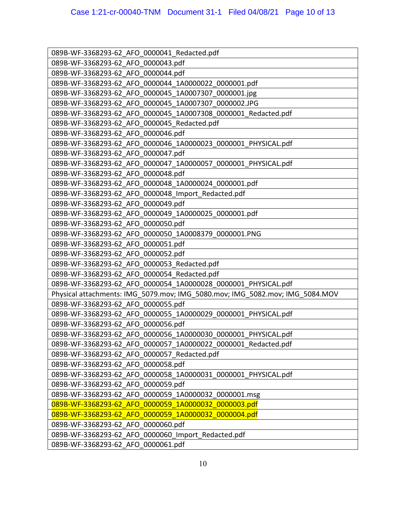| 089B-WF-3368293-62 AFO 0000041 Redacted.pdf                                  |
|------------------------------------------------------------------------------|
| 089B-WF-3368293-62 AFO 0000043.pdf                                           |
| 089B-WF-3368293-62 AFO 0000044.pdf                                           |
| 089B-WF-3368293-62 AFO 0000044_1A0000022_0000001.pdf                         |
| 089B-WF-3368293-62 AFO 0000045 1A0007307 0000001.jpg                         |
| 089B-WF-3368293-62 AFO 0000045 1A0007307 0000002.JPG                         |
| 089B-WF-3368293-62 AFO 0000045 1A0007308 0000001 Redacted.pdf                |
| 089B-WF-3368293-62 AFO 0000045 Redacted.pdf                                  |
| 089B-WF-3368293-62 AFO 0000046.pdf                                           |
| 089B-WF-3368293-62_AFO_0000046_1A0000023_0000001_PHYSICAL.pdf                |
| 089B-WF-3368293-62 AFO 0000047.pdf                                           |
| 089B-WF-3368293-62 AFO 0000047 1A0000057 0000001 PHYSICAL.pdf                |
| 089B-WF-3368293-62 AFO 0000048.pdf                                           |
| 089B-WF-3368293-62 AFO 0000048 1A0000024 0000001.pdf                         |
| 089B-WF-3368293-62 AFO 0000048 Import Redacted.pdf                           |
| 089B-WF-3368293-62 AFO 0000049.pdf                                           |
| 089B-WF-3368293-62 AFO 0000049 1A0000025 0000001.pdf                         |
| 089B-WF-3368293-62 AFO 0000050.pdf                                           |
| 089B-WF-3368293-62 AFO 0000050 1A0008379 0000001.PNG                         |
| 089B-WF-3368293-62 AFO 0000051.pdf                                           |
| 089B-WF-3368293-62 AFO 0000052.pdf                                           |
| 089B-WF-3368293-62 AFO 0000053 Redacted.pdf                                  |
| 089B-WF-3368293-62 AFO 0000054 Redacted.pdf                                  |
| 089B-WF-3368293-62 AFO 0000054 1A0000028 0000001 PHYSICAL.pdf                |
| Physical attachments: IMG 5079.mov; IMG 5080.mov; IMG 5082.mov; IMG 5084.MOV |
| 089B-WF-3368293-62 AFO 0000055.pdf                                           |
| 089B-WF-3368293-62_AFO_0000055_1A0000029_0000001_PHYSICAL.pdf                |
| 089B-WF-3368293-62 AFO 0000056.pdf                                           |
| 089B-WF-3368293-62 AFO 0000056 1A0000030 0000001 PHYSICAL.pdf                |
| 089B-WF-3368293-62_AFO_0000057_1A0000022_0000001_Redacted.pdf                |
| 089B-WF-3368293-62 AFO 0000057 Redacted.pdf                                  |
| 089B-WF-3368293-62 AFO 0000058.pdf                                           |
| 089B-WF-3368293-62 AFO 0000058_1A0000031_0000001_PHYSICAL.pdf                |
| 089B-WF-3368293-62 AFO 0000059.pdf                                           |
| 089B-WF-3368293-62 AFO 0000059 1A0000032 0000001.msg                         |
| 089B-WF-3368293-62 AFO 0000059 1A0000032 0000003.pdf                         |
| 089B-WF-3368293-62_AFO 0000059 1A0000032 0000004.pdf                         |
| 089B-WF-3368293-62 AFO 0000060.pdf                                           |
| 089B-WF-3368293-62 AFO 0000060 Import Redacted.pdf                           |
| 089B-WF-3368293-62 AFO 0000061.pdf                                           |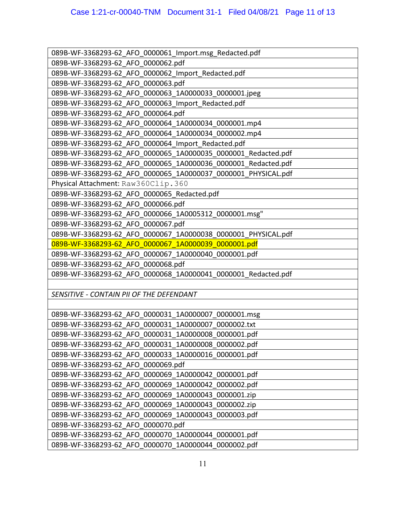| 089B-WF-3368293-62 AFO 0000061 Import.msg Redacted.pdf        |
|---------------------------------------------------------------|
| 089B-WF-3368293-62 AFO 0000062.pdf                            |
| 089B-WF-3368293-62 AFO 0000062 Import Redacted.pdf            |
| 089B-WF-3368293-62 AFO 0000063.pdf                            |
| 089B-WF-3368293-62_AFO_0000063_1A0000033_0000001.jpeg         |
| 089B-WF-3368293-62 AFO 0000063_Import_Redacted.pdf            |
| 089B-WF-3368293-62 AFO 0000064.pdf                            |
| 089B-WF-3368293-62 AFO 0000064 1A0000034_0000001.mp4          |
| 089B-WF-3368293-62 AFO 0000064 1A0000034 0000002.mp4          |
| 089B-WF-3368293-62 AFO 0000064 Import Redacted.pdf            |
| 089B-WF-3368293-62 AFO 0000065_1A0000035_0000001_Redacted.pdf |
| 089B-WF-3368293-62 AFO 0000065 1A0000036 0000001 Redacted.pdf |
| 089B-WF-3368293-62_AFO_0000065_1A0000037_0000001_PHYSICAL.pdf |
| Physical Attachment: Raw360Clip.360                           |
| 089B-WF-3368293-62 AFO 0000065 Redacted.pdf                   |
| 089B-WF-3368293-62 AFO 0000066.pdf                            |
| 089B-WF-3368293-62 AFO 0000066 1A0005312 0000001.msg"         |
| 089B-WF-3368293-62 AFO 0000067.pdf                            |
| 089B-WF-3368293-62 AFO 0000067 1A0000038 0000001 PHYSICAL.pdf |
| 089B-WF-3368293-62 AFO 0000067 1A0000039 0000001.pdf          |
| 089B-WF-3368293-62 AFO 0000067 1A0000040 0000001.pdf          |
| 089B-WF-3368293-62 AFO 0000068.pdf                            |
| 089B-WF-3368293-62 AFO 0000068 1A0000041 0000001 Redacted.pdf |
|                                                               |
| SENSITIVE - CONTAIN PII OF THE DEFENDANT                      |
|                                                               |
| 089B-WF-3368293-62 AFO 0000031 1A0000007 0000001.msg          |
| 089B-WF-3368293-62 AFO 0000031 1A0000007 0000002.txt          |
| 089B-WF-3368293-62 AFO 0000031 1A0000008 0000001.pdf          |
| 089B-WF-3368293-62_AFO_0000031_1A0000008_0000002.pdf          |
| 089B-WF-3368293-62 AFO 0000033 1A0000016 0000001.pdf          |
| 089B-WF-3368293-62 AFO 0000069.pdf                            |
| 089B-WF-3368293-62 AFO 0000069 1A0000042 0000001.pdf          |
| 089B-WF-3368293-62 AFO 0000069 1A0000042 0000002.pdf          |
| 089B-WF-3368293-62 AFO 0000069 1A0000043 0000001.zip          |
| 089B-WF-3368293-62 AFO 0000069 1A0000043 0000002.zip          |
| 089B-WF-3368293-62 AFO 0000069 1A0000043 0000003.pdf          |
| 089B-WF-3368293-62 AFO 0000070.pdf                            |
| 089B-WF-3368293-62 AFO 0000070_1A0000044_0000001.pdf          |
| 089B-WF-3368293-62 AFO 0000070 1A0000044 0000002.pdf          |